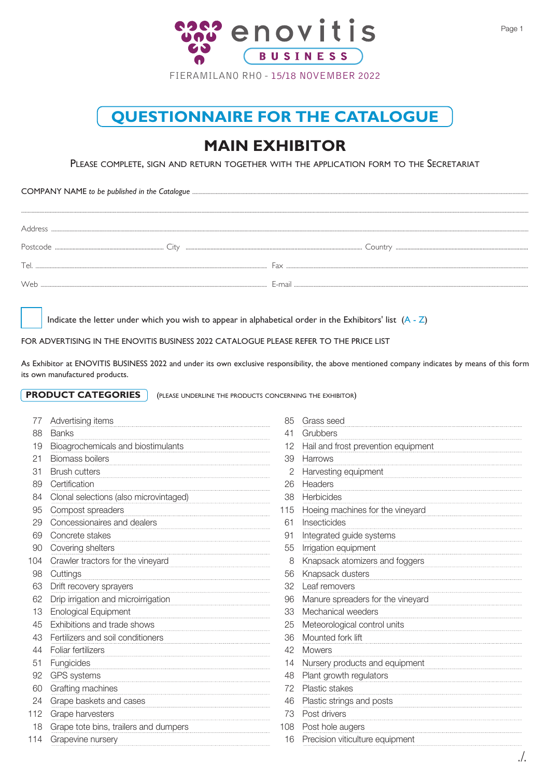

## **QUESTIONNAIRE FOR THE CATALOGUE**

## **MAIN EXHIBITOR**

PLEASE COMPLETE, SIGN AND RETURN TOGETHER WITH THE APPLICATION FORM TO THE SECRETARIAT

COMPANY NAME *to be published in the Catalogue* .................................................................................................................................................................................................................................................................

Indicate the letter under which you wish to appear in alphabetical order in the Exhibitors' list  $(A - Z)$ 

FOR ADVERTISING IN THE ENOVITIS BUSINESS 2022 CATALOGUE PLEASE REFER TO THE PRICE LIST

As Exhibitor at ENOVITIS BUSINESS 2022 and under its own exclusive responsibility, the above mentioned company indicates by means of this form its own manufactured products.

**PRODUCT CATEGORIES** (PLEASE UNDERLINE THE PRODUCTS CONCERNING THE EXHIBITOR)

|     | Advertising items                      | 85  | Grass seed                          |
|-----|----------------------------------------|-----|-------------------------------------|
| 88  | <b>Banks</b>                           | 41  | Grubbers                            |
| 19  | Bioagrochemicals and biostimulants     | 12  | Hail and frost prevention equipment |
| 21  | <b>Biomass boilers</b>                 | 39  | Harrows                             |
| 31  | <b>Brush cutters</b>                   |     | Harvesting equipment                |
| 89  | Certification                          | 26  | Headers                             |
| 84  | Clonal selections (also microvintaged) | 38  | Herbicides                          |
| 95  | Compost spreaders                      | 115 | Hoeing machines for the vineyard    |
| 29  | Concessionaires and dealers            | 61  | Insecticides                        |
| 69  | Concrete stakes                        | 91  | Integrated guide systems            |
| 90  | Covering shelters                      | 55  | Irrigation equipment                |
| 104 | Crawler tractors for the vineyard      | 8   | Knapsack atomizers and foggers      |
| 98  | Cuttings                               | 56  | Knapsack dusters                    |
| 63  | Drift recovery sprayers                | 32  | Leaf removers                       |
| 62  | Drip irrigation and microirrigation    | 96  | Manure spreaders for the vineyard   |
| 13  | Enological Equipment                   | 33  | Mechanical weeders                  |
| 45  | Exhibitions and trade shows            | 25  | Meteorological control units        |
| 43  | Fertilizers and soil conditioners      | 36  | Mounted fork lift                   |
| 44  | Foliar fertilizers                     | 42  | <b>Mowers</b>                       |
| 51  | Fungicides                             | 14  | Nursery products and equipment      |
| 92  | GPS systems                            | 48  | Plant growth regulators             |
| 60  | Grafting machines                      | 72  | Plastic stakes                      |
| 24  | Grape baskets and cases                | 46  | Plastic strings and posts           |
| 112 | Grape harvesters                       | 73  | Post drivers                        |
| 18  | Grape tote bins, trailers and dumpers  | 108 | Post hole augers                    |
| 114 | Grapevine nursery                      | 16  | Precision viticulture equipment     |
|     |                                        |     |                                     |